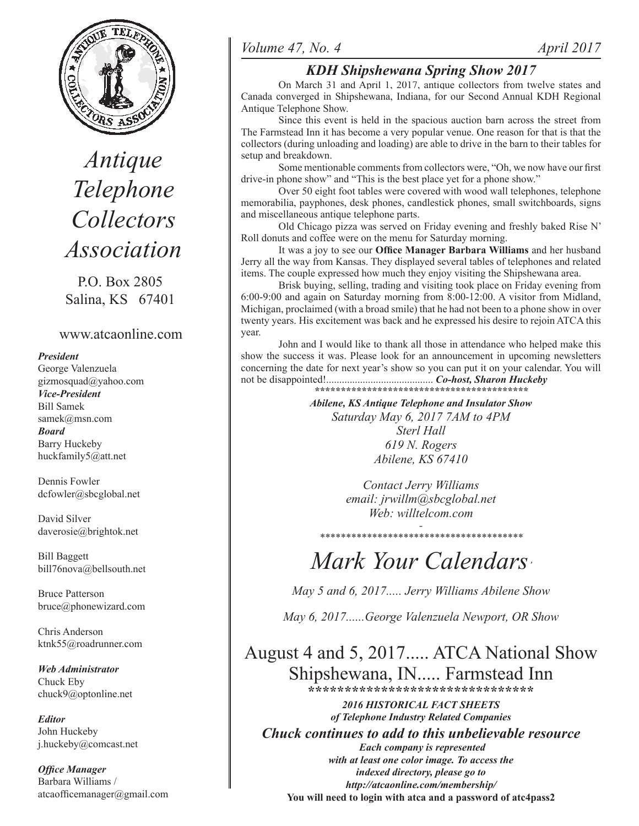

*Antique Telephone Collectors Association*

P.O. Box 2805 Salina, KS 67401

## www.atcaonline.com

#### *President*

George Valenzuela gizmosquad@yahoo.com *Vice-President* Bill Samek samek@msn.com *Board* Barry Huckeby huckfamily5@att.net

Dennis Fowler dcfowler@sbcglobal.net

David Silver daverosie@brightok.net

Bill Baggett bill76nova@bellsouth.net

Bruce Patterson bruce@phonewizard.com

Chris Anderson ktnk55@roadrunner.com

*Web Administrator* Chuck Eby chuck9@optonline.net

*Editor* John Huckeby j.huckeby@comcast.net

*Office Manager* Barbara Williams / atcaofficemanager@gmail.com

## *Volume 47, No. 4 April 2017*

# *KDH Shipshewana Spring Show 2017*

On March 31 and April 1, 2017, antique collectors from twelve states and Canada converged in Shipshewana, Indiana, for our Second Annual KDH Regional Antique Telephone Show.

Since this event is held in the spacious auction barn across the street from The Farmstead Inn it has become a very popular venue. One reason for that is that the collectors (during unloading and loading) are able to drive in the barn to their tables for setup and breakdown.

Some mentionable comments from collectors were, "Oh, we now have our first drive-in phone show" and "This is the best place yet for a phone show."

Over 50 eight foot tables were covered with wood wall telephones, telephone memorabilia, payphones, desk phones, candlestick phones, small switchboards, signs and miscellaneous antique telephone parts.

Old Chicago pizza was served on Friday evening and freshly baked Rise N' Roll donuts and coffee were on the menu for Saturday morning.

 It was a joy to see our **Office Manager Barbara Williams** and her husband Jerry all the way from Kansas. They displayed several tables of telephones and related items. The couple expressed how much they enjoy visiting the Shipshewana area.

Brisk buying, selling, trading and visiting took place on Friday evening from 6:00-9:00 and again on Saturday morning from 8:00-12:00. A visitor from Midland, Michigan, proclaimed (with a broad smile) that he had not been to a phone show in over twenty years. His excitement was back and he expressed his desire to rejoin ATCA this year.

John and I would like to thank all those in attendance who helped make this show the success it was. Please look for an announcement in upcoming newsletters concerning the date for next year's show so you can put it on your calendar. You will not be disappointed!......................................... *Co-host, Sharon Huckeby \*\*\*\*\*\*\*\*\*\*\*\*\*\*\*\*\*\*\*\*\*\*\*\*\*\*\*\*\*\*\*\*\*\*\*\*\*\*\*\*\**

*Abilene, KS Antique Telephone and Insulator Show Saturday May 6, 2017 7AM to 4PM Sterl Hall 619 N. Rogers Abilene, KS 67410*

> *Contact Jerry Williams email: jrwillm@sbcglobal.net Web: willtelcom.com*

*- \*\*\*\*\*\*\*\*\*\*\*\*\*\*\*\*\*\*\*\*\*\*\*\*\*\*\*\*\*\*\*\*\*\*\*\*\*\*\**

# *Mark Your Calendars'*

*May 5 and 6, 2017..... Jerry Williams Abilene Show*

*May 6, 2017......George Valenzuela Newport, OR Show*

August 4 and 5, 2017..... ATCA National Show Shipshewana, IN..... Farmstead Inn **\*\*\*\*\*\*\*\*\*\*\*\*\*\*\*\*\*\*\*\*\*\*\*\*\*\*\*\*\*\*\***

*2016 HISTORICAL FACT SHEETS of Telephone Industry Related Companies Chuck continues to add to this unbelievable resource Each company is represented with at least one color image. To access the indexed directory, please go to http://atcaonline.com/membership/* **You will need to login with atca and a password of atc4pass2**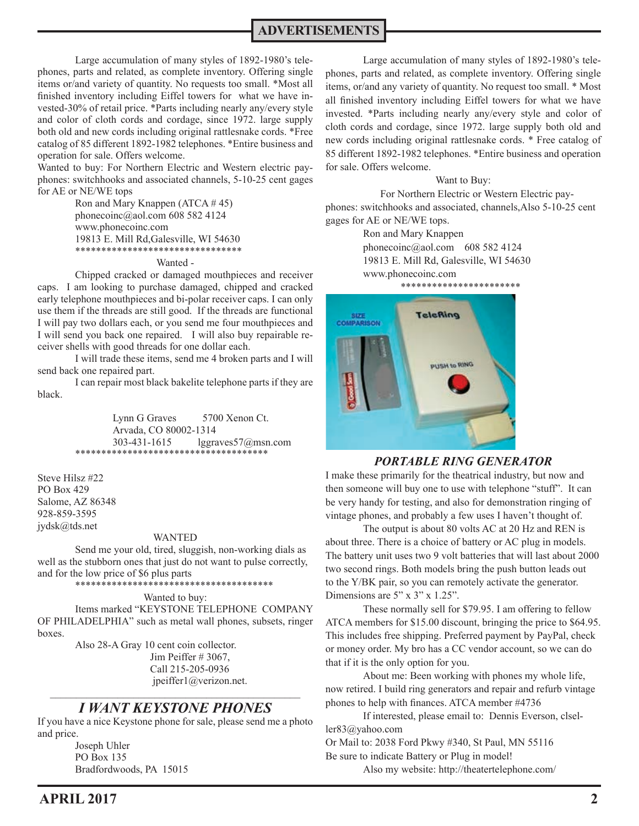**ADVERTISEMENTS**

Large accumulation of many styles of 1892-1980's telephones, parts and related, as complete inventory. Offering single items or/and variety of quantity. No requests too small. \*Most all finished inventory including Eiffel towers for what we have invested-30% of retail price. \*Parts including nearly any/every style and color of cloth cords and cordage, since 1972. large supply both old and new cords including original rattlesnake cords. \*Free catalog of 85 different 1892-1982 telephones. \*Entire business and operation for sale. Offers welcome.

Wanted to buy: For Northern Electric and Western electric payphones: switchhooks and associated channels, 5-10-25 cent gages for AE or NE/WE tops

> Ron and Mary Knappen  $(ATCA \# 45)$  phonecoinc@aol.com 608 582 4124 www.phonecoinc.com 19813 E. Mill Rd,Galesville, WI 54630 \*\*\*\*\*\*\*\*\*\*\*\*\*\*\*\*\*\*\*\*\*\*\*\*\*\*\*\*\*\*\*\*

#### Wanted -

Chipped cracked or damaged mouthpieces and receiver caps. I am looking to purchase damaged, chipped and cracked early telephone mouthpieces and bi-polar receiver caps. I can only use them if the threads are still good. If the threads are functional I will pay two dollars each, or you send me four mouthpieces and I will send you back one repaired. I will also buy repairable receiver shells with good threads for one dollar each.

I will trade these items, send me 4 broken parts and I will send back one repaired part.

I can repair most black bakelite telephone parts if they are black.

> Lynn G Graves 5700 Xenon Ct. Arvada, CO 80002-1314 303-431-1615 lggraves57@msn.com \*\*\*\*\*\*\*\*\*\*\*\*\*\*\*\*\*\*\*\*\*\*\*\*\*\*\*\*\*\*\*\*\*\*\*\*\*

Steve Hilsz #22 PO Box 429 Salome, AZ 86348 928-859-3595 jydsk@tds.net

#### WANTED

 Send me your old, tired, sluggish, non-working dials as well as the stubborn ones that just do not want to pulse correctly, and for the low price of \$6 plus parts \*\*\*\*\*\*\*\*\*\*\*\*\*\*\*\*\*\*\*\*\*\*\*\*\*\*\*\*\*\*\*\*\*\*\*\*\*\*

#### Wanted to buy:

Items marked "KEYSTONE TELEPHONE COMPANY OF PHILADELPHIA" such as metal wall phones, subsets, ringer boxes.

 Also 28-A Gray 10 cent coin collector. Jim Peiffer # 3067, Call 215-205-0936 jpeiffer1@verizon.net.  $\mathcal{L}_\text{max}$  and  $\mathcal{L}_\text{max}$  and  $\mathcal{L}_\text{max}$  and  $\mathcal{L}_\text{max}$  and  $\mathcal{L}_\text{max}$ 

### *I WANT KEYSTONE PHONES*

If you have a nice Keystone phone for sale, please send me a photo and price.

> Joseph Uhler PO Box 135 Bradfordwoods, PA 15015

Large accumulation of many styles of 1892-1980's telephones, parts and related, as complete inventory. Offering single items, or/and any variety of quantity. No request too small. \* Most all finished inventory including Eiffel towers for what we have invested. \*Parts including nearly any/every style and color of cloth cords and cordage, since 1972. large supply both old and new cords including original rattlesnake cords. \* Free catalog of 85 different 1892-1982 telephones. \*Entire business and operation for sale. Offers welcome.

#### Want to Buy:

 For Northern Electric or Western Electric payphones: switchhooks and associated, channels,Also 5-10-25 cent gages for AE or NE/WE tops.

> Ron and Mary Knappen phonecoinc@aol.com 608 582 4124 19813 E. Mill Rd, Galesville, WI 54630 www.phonecoinc.com



#### *PORTABLE RING GENERATOR*

I make these primarily for the theatrical industry, but now and then someone will buy one to use with telephone "stuff". It can be very handy for testing, and also for demonstration ringing of vintage phones, and probably a few uses I haven't thought of.

The output is about 80 volts AC at 20 Hz and REN is about three. There is a choice of battery or AC plug in models. The battery unit uses two 9 volt batteries that will last about 2000 two second rings. Both models bring the push button leads out to the Y/BK pair, so you can remotely activate the generator. Dimensions are 5" x 3" x 1.25".

These normally sell for \$79.95. I am offering to fellow ATCA members for \$15.00 discount, bringing the price to \$64.95. This includes free shipping. Preferred payment by PayPal, check or money order. My bro has a CC vendor account, so we can do that if it is the only option for you.

About me: Been working with phones my whole life, now retired. I build ring generators and repair and refurb vintage phones to help with finances. ATCA member #4736

If interested, please email to: Dennis Everson, clseller83@yahoo.com

Or Mail to: 2038 Ford Pkwy #340, St Paul, MN 55116 Be sure to indicate Battery or Plug in model!

Also my website: http://theatertelephone.com/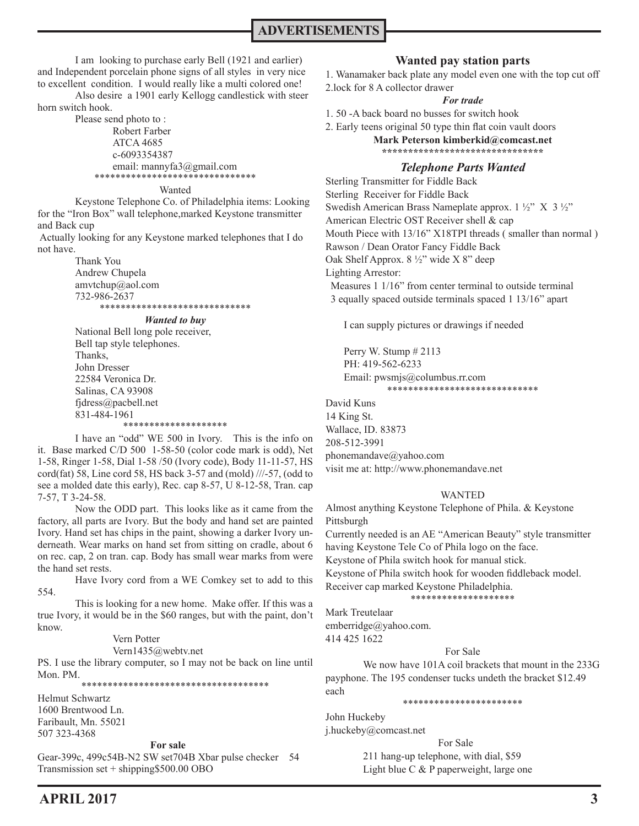I am looking to purchase early Bell (1921 and earlier) and Independent porcelain phone signs of all styles in very nice to excellent condition. I would really like a multi colored one!

Also desire a 1901 early Kellogg candlestick with steer horn switch hook.

> Please send photo to : Robert Farber ATCA 4685 c-6093354387 email: mannyfa3@gmail.com<br>\*\*\*\*\*\*\*\*\*\*\*\*\*\*\*\*\*\*\*\*\*\*\*\*\*\*\*\*\*\* \*\*\*\*\*\*\*\*\*\*\*\*\*\*\*\*\*\*\*\*\*\*\*\*\*\*\*\*\*\*\*

#### Wanted

Keystone Telephone Co. of Philadelphia items: Looking for the "Iron Box" wall telephone,marked Keystone transmitter and Back cup

 Actually looking for any Keystone marked telephones that I do not have.

> Thank You Andrew Chupela amvtchup@aol.com 732-986-2637 \*\*\*\*\*\*\*\*\*\*\*\*\*\*\*\*\*\*\*\*\*\*\*\*\*\*\*\*\*

#### *Wanted to buy*

National Bell long pole receiver, Bell tap style telephones. Thanks, John Dresser 22584 Veronica Dr. Salinas, CA 93908 fjdress@pacbell.net 831-484-1961 \*\*\*\*\*\*\*\*\*\*\*\*\*\*\*\*\*\*\*\*

I have an "odd" WE 500 in Ivory. This is the info on it. Base marked C/D 500 1-58-50 (color code mark is odd), Net 1-58, Ringer 1-58, Dial 1-58 /50 (Ivory code), Body 11-11-57, HS cord(fat) 58, Line cord 58, HS back 3-57 and (mold) ///-57, (odd to see a molded date this early), Rec. cap 8-57, U 8-12-58, Tran. cap 7-57, T 3-24-58.

Now the ODD part. This looks like as it came from the factory, all parts are Ivory. But the body and hand set are painted Ivory. Hand set has chips in the paint, showing a darker Ivory underneath. Wear marks on hand set from sitting on cradle, about 6 on rec. cap, 2 on tran. cap. Body has small wear marks from were the hand set rests.

Have Ivory cord from a WE Comkey set to add to this 554.

This is looking for a new home. Make offer. If this was a true Ivory, it would be in the \$60 ranges, but with the paint, don't know.

#### Vern Potter

Vern1435@webtv.net

PS. I use the library computer, so I may not be back on line until Mon. PM.

\*\*\*\*\*\*\*\*\*\*\*\*\*\*\*\*\*\*\*\*\*\*\*\*\*\*\*\*\*\*\*\*\*\*\*\*

Helmut Schwartz 1600 Brentwood Ln. Faribault, Mn. 55021 507 323-4368

#### **For sale**

Gear-399c, 499c54B-N2 SW set704B Xbar pulse checker 54 Transmission set + shipping\$500.00 OBO

### **Wanted pay station parts**

1. Wanamaker back plate any model even one with the top cut off 2.lock for 8 A collector drawer

#### *For trade*

- 1. 50 -A back board no busses for switch hook
- 2. Early teens original 50 type thin flat coin vault doors

**Mark Peterson kimberkid@comcast.net \*\*\*\*\*\*\*\*\*\*\*\*\*\*\*\*\*\*\*\*\*\*\*\*\*\*\*\*\*\*\***

## *Telephone Parts Wanted*

Sterling Transmitter for Fiddle Back Sterling Receiver for Fiddle Back Swedish American Brass Nameplate approx. 1 ½" X 3 ½" American Electric OST Receiver shell & cap Mouth Piece with 13/16" X18TPI threads (smaller than normal) Rawson / Dean Orator Fancy Fiddle Back Oak Shelf Approx. 8 ½" wide X 8" deep Lighting Arrestor: Measures 1 1/16" from center terminal to outside terminal 3 equally spaced outside terminals spaced 1 13/16" apart

I can supply pictures or drawings if needed

Perry W. Stump  $#2113$  PH: 419-562-6233 Email: pwsmjs@columbus.rr.com \*\*\*\*\*\*\*\*\*\*\*\*\*\*\*\*\*\*\*\*\*\*\*\*\*\*\*\*\*

David Kuns 14 King St. Wallace, ID. 83873 208-512-3991 phonemandave@yahoo.com visit me at: http://www.phonemandave.net

#### WANTED

Almost anything Keystone Telephone of Phila. & Keystone Pittsburgh Currently needed is an AE "American Beauty" style transmitter having Keystone Tele Co of Phila logo on the face.

Keystone of Phila switch hook for manual stick.

Keystone of Phila switch hook for wooden fiddleback model.

#### Receiver cap marked Keystone Philadelphia.

#### \*\*\*\*\*\*\*\*\*\*\*\*\*\*\*\*\*\*\*\*

Mark Treutelaar emberridge@yahoo.com. 414 425 1622

#### For Sale

We now have 101A coil brackets that mount in the 233G payphone. The 195 condenser tucks undeth the bracket \$12.49 each

\*\*\*\*\*\*\*\*\*\*\*\*\*\*\*\*\*\*\*\*\*\*\*

John Huckeby j.huckeby@comcast.net

> For Sale 211 hang-up telephone, with dial, \$59 Light blue C & P paperweight, large one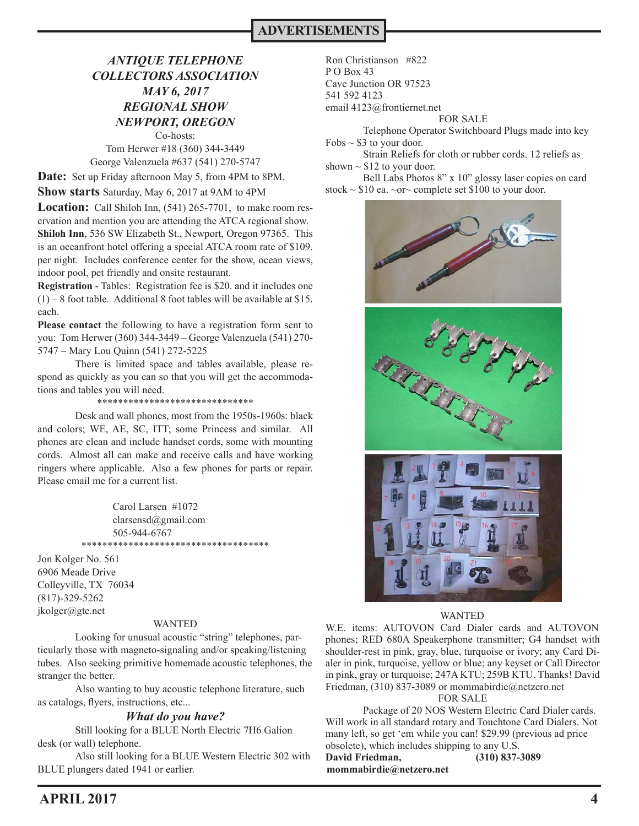## *ANTIQUE TELEPHONE COLLECTORS ASSOCIATION MAY 6, 2017 REGIONAL SHOW NEWPORT, OREGON* Co-hosts:

Tom Herwer #18 (360) 344-3449 George Valenzuela #637 (541) 270-5747

**Date:** Set up Friday afternoon May 5, from 4PM to 8PM.

**Show starts** Saturday, May 6, 2017 at 9AM to 4PM

**Location:** Call Shiloh Inn, (541) 265-7701, to make room reservation and mention you are attending the ATCA regional show. **Shiloh Inn**, 536 SW Elizabeth St., Newport, Oregon 97365. This is an oceanfront hotel offering a special ATCA room rate of \$109. per night. Includes conference center for the show, ocean views, indoor pool, pet friendly and onsite restaurant.

**Registration** - Tables: Registration fee is \$20. and it includes one (1) – 8 foot table. Additional 8 foot tables will be available at \$15. each.

**Please contact** the following to have a registration form sent to you: Tom Herwer (360) 344-3449 – George Valenzuela (541) 270- 5747 – Mary Lou Quinn (541) 272-5225

There is limited space and tables available, please respond as quickly as you can so that you will get the accommodations and tables you will need.

\*\*\*\*\*\*\*\*\*\*\*\*\*\*\*\*\*\*\*\*\*\*\*\*\*\*\*\*\*\*

Desk and wall phones, most from the 1950s-1960s: black and colors; WE, AE, SC, ITT; some Princess and similar. All phones are clean and include handset cords, some with mounting cords. Almost all can make and receive calls and have working ringers where applicable. Also a few phones for parts or repair. Please email me for a current list.

> Carol Larsen #1072 clarsensd@gmail.com 505-944-6767 \*\*\*\*\*\*\*\*\*\*\*\*\*\*\*\*\*\*\*\*\*\*\*\*\*\*\*\*\*\*\*\*\*

Jon Kolger No. 561 6906 Meade Drive Colleyville, TX 76034 (817)-329-5262 jkolger@gte.net

#### WANTED

 Looking for unusual acoustic "string" telephones, particularly those with magneto-signaling and/or speaking/listening tubes. Also seeking primitive homemade acoustic telephones, the stranger the better.

 Also wanting to buy acoustic telephone literature, such as catalogs, flyers, instructions, etc...

#### *What do you have?*

 Still looking for a BLUE North Electric 7H6 Galion desk (or wall) telephone.

 Also still looking for a BLUE Western Electric 302 with BLUE plungers dated 1941 or earlier.

Ron Christianson #822  $P$  O Box 43 Cave Junction OR 97523 541 592 4123 email 4123@frontiernet.net

#### FOR SALE

Telephone Operator Switchboard Plugs made into key Fobs  $\sim$  \$3 to your door.

Strain Reliefs for cloth or rubber cords. 12 reliefs as shown  $\sim$  \$12 to your door.

Bell Labs Photos 8" x 10" glossy laser copies on card stock  $\sim$  \$10 ea.  $\sim$ or $\sim$  complete set \$100 to your door.



#### WANTED

W.E. items: AUTOVON Card Dialer cards and AUTOVON phones; RED 680A Speakerphone transmitter; G4 handset with shoulder-rest in pink, gray, blue, turquoise or ivory; any Card Dialer in pink, turquoise, yellow or blue; any keyset or Call Director in pink, gray or turquoise; 247A KTU; 259B KTU. Thanks! David Friedman, (310) 837-3089 or mommabirdie@netzero.net

#### FOR SALE

Package of 20 NOS Western Electric Card Dialer cards. Will work in all standard rotary and Touchtone Card Dialers. Not many left, so get 'em while you can! \$29.99 (previous ad price obsolete), which includes shipping to any U.S. **David Friedman, (310) 837-3089 mommabirdie@netzero.net**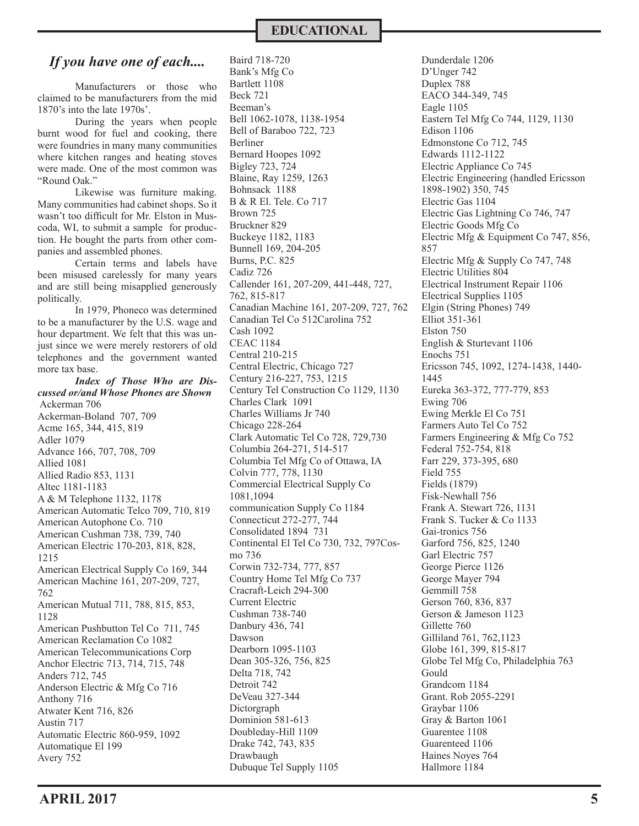## **EDUCATIONAL**

# *If you have one of each....*

Manufacturers or those who claimed to be manufacturers from the mid 1870's into the late 1970s'.

During the years when people burnt wood for fuel and cooking, there were foundries in many many communities where kitchen ranges and heating stoves were made. One of the most common was "Round Oak."

Likewise was furniture making. Many communities had cabinet shops. So it wasn't too difficult for Mr. Elston in Muscoda, WI, to submit a sample for production. He bought the parts from other companies and assembled phones.

Certain terms and labels have been misused carelessly for many years and are still being misapplied generously politically.

In 1979, Phoneco was determined to be a manufacturer by the U.S. wage and hour department. We felt that this was unjust since we were merely restorers of old telephones and the government wanted more tax base.

*Index of Those Who are Discussed or/and Whose Phones are Shown* Ackerman 706 Ackerman-Boland 707, 709 Acme 165, 344, 415, 819 Adler 1079 Advance 166, 707, 708, 709 Allied 1081 Allied Radio 853, 1131 Altec 1181-1183 A & M Telephone 1132, 1178 American Automatic Telco 709, 710, 819 American Autophone Co. 710 American Cushman 738, 739, 740 American Electric 170-203, 818, 828, 1215 American Electrical Supply Co 169, 344 American Machine 161, 207-209, 727, 762 American Mutual 711, 788, 815, 853, 1128 American Pushbutton Tel Co 711, 745 American Reclamation Co 1082 American Telecommunications Corp Anchor Electric 713, 714, 715, 748 Anders 712, 745 Anderson Electric & Mfg Co 716 Anthony 716 Atwater Kent 716, 826 Austin 717 Automatic Electric 860-959, 1092 Automatique El 199 Avery 752

Baird 718-720 Bank's Mfg Co Bartlett 1108 Beck 721 Beeman's Bell 1062-1078, 1138-1954 Bell of Baraboo 722, 723 Berliner Bernard Hoopes 1092 Bigley 723, 724 Blaine, Ray 1259, 1263 Bohnsack 1188 B & R El. Tele. Co 717 Brown 725 Bruckner 829 Buckeye 1182, 1183 Bunnell 169, 204-205 Burns, P.C. 825 Cadiz 726 Callender 161, 207-209, 441-448, 727, 762, 815-817 Canadian Machine 161, 207-209, 727, 762 Canadian Tel Co 512Carolina 752 Cash 1092 CEAC 1184 Central 210-215 Central Electric, Chicago 727 Century 216-227, 753, 1215 Century Tel Construction Co 1129, 1130 Charles Clark 1091 Charles Williams Jr 740 Chicago 228-264 Clark Automatic Tel Co 728, 729,730 Columbia 264-271, 514-517 Columbia Tel Mfg Co of Ottawa, IA Colvin 777, 778, 1130 Commercial Electrical Supply Co 1081,1094 communication Supply Co 1184 Connecticut 272-277, 744 Consolidated 1894 731 Continental El Tel Co 730, 732, 797Cosmo 736 Corwin 732-734, 777, 857 Country Home Tel Mfg Co 737 Cracraft-Leich 294-300 Current Electric Cushman 738-740 Danbury 436, 741 Dawson Dearborn 1095-1103 Dean 305-326, 756, 825 Delta 718, 742 Detroit 742 DeVeau 327-344 Dictorgraph Dominion 581-613 Doubleday-Hill 1109 Drake 742, 743, 835 Drawbaugh Dubuque Tel Supply 1105

Dunderdale 1206 D'Unger 742 Duplex 788 EACO 344-349, 745 Eagle 1105 Eastern Tel Mfg Co 744, 1129, 1130 Edison 1106 Edmonstone Co 712, 745 Edwards 1112-1122 Electric Appliance Co 745 Electric Engineering (handled Ericsson 1898-1902) 350, 745 Electric Gas 1104 Electric Gas Lightning Co 746, 747 Electric Goods Mfg Co Electric Mfg & Equipment Co 747, 856, 857 Electric Mfg & Supply Co 747, 748 Electric Utilities 804 Electrical Instrument Repair 1106 Electrical Supplies 1105 Elgin (String Phones) 749 Elliot 351-361 Elston 750 English & Sturtevant 1106 Enochs 751 Ericsson 745, 1092, 1274-1438, 1440- 1445 Eureka 363-372, 777-779, 853 Ewing 706 Ewing Merkle El Co 751 Farmers Auto Tel Co 752 Farmers Engineering & Mfg Co 752 Federal 752-754, 818 Farr 229, 373-395, 680 Field 755 Fields (1879) Fisk-Newhall 756 Frank A. Stewart 726, 1131 Frank S. Tucker & Co 1133 Gai-tronics 756 Garford 756, 825, 1240 Garl Electric 757 George Pierce 1126 George Mayer 794 Gemmill 758 Gerson 760, 836, 837 Gerson & Jameson 1123 Gillette 760 Gilliland 761, 762,1123 Globe 161, 399, 815-817 Globe Tel Mfg Co, Philadelphia 763 Gould Grandcom 1184 Grant. Rob 2055-2291 Graybar 1106 Gray & Barton 1061 Guarentee 1108 Guarenteed 1106 Haines Noyes 764 Hallmore 1184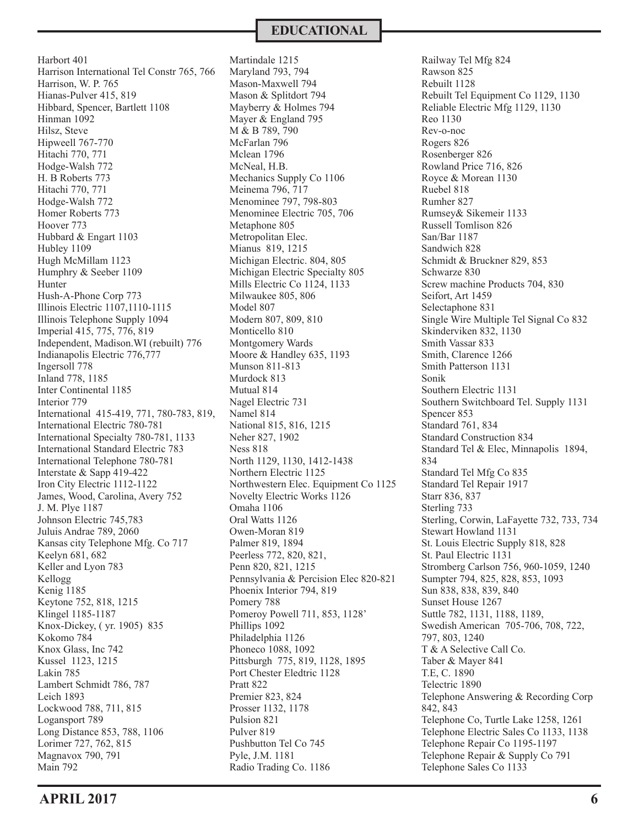**EDUCATIONAL**

Harbort 401 Harrison International Tel Constr 765, 766 Harrison, W. P. 765 Hianas-Pulver 415, 819 Hibbard, Spencer, Bartlett 1108 Hinman 1092 Hilsz, Steve Hipweell 767-770 Hitachi 770, 771 Hodge-Walsh 772 H. B Roberts 773 Hitachi 770, 771 Hodge-Walsh 772 Homer Roberts 773 Hoover 773 Hubbard & Engart 1103 Hubley 1109 Hugh McMillam 1123 Humphry & Seeber 1109 Hunter Hush-A-Phone Corp 773 Illinois Electric 1107,1110-1115 Illinois Telephone Supply 1094 Imperial 415, 775, 776, 819 Independent, Madison.WI (rebuilt) 776 Indianapolis Electric 776,777 Ingersoll 778 Inland 778, 1185 Inter Continental 1185 Interior 779 International 415-419, 771, 780-783, 819, International Electric 780-781 International Specialty 780-781, 1133 International Standard Electric 783 International Telephone 780-781 Interstate & Sapp 419-422 Iron City Electric 1112-1122 James, Wood, Carolina, Avery 752 J. M. Plye 1187 Johnson Electric 745,783 Juluis Andrae 789, 2060 Kansas city Telephone Mfg. Co 717 Keelyn 681, 682 Keller and Lyon 783 Kellogg Kenig 1185 Keytone 752, 818, 1215 Klingel 1185-1187 Knox-Dickey, ( yr. 1905) 835 Kokomo 784 Knox Glass, Inc 742 Kussel 1123, 1215 Lakin 785 Lambert Schmidt 786, 787 Leich 1893 Lockwood 788, 711, 815 Logansport 789 Long Distance 853, 788, 1106 Lorimer 727, 762, 815 Magnavox 790, 791 Main 792

Martindale 1215 Maryland 793, 794 Mason-Maxwell 794 Mason & Splitdort 794 Mayberry & Holmes 794 Mayer & England 795 M & B 789, 790 McFarlan 796 Mclean 1796 McNeal, H.B. Mechanics Supply Co 1106 Meinema 796, 717 Menominee 797, 798-803 Menominee Electric 705, 706 Metaphone 805 Metropolitan Elec. Mianus 819, 1215 Michigan Electric. 804, 805 Michigan Electric Specialty 805 Mills Electric Co 1124, 1133 Milwaukee 805, 806 Model 807 Modern 807, 809, 810 Monticello 810 Montgomery Wards Moore & Handley 635, 1193 Munson 811-813 Murdock 813 Mutual 814 Nagel Electric 731 Namel 814 National 815, 816, 1215 Neher 827, 1902 Ness 818 North 1129, 1130, 1412-1438 Northern Electric 1125 Northwestern Elec. Equipment Co 1125 Novelty Electric Works 1126 Omaha 1106 Oral Watts 1126 Owen-Moran 819 Palmer 819, 1894 Peerless 772, 820, 821, Penn 820, 821, 1215 Pennsylvania & Percision Elec 820-821 Phoenix Interior 794, 819 Pomery 788 Pomeroy Powell 711, 853, 1128' Phillips 1092 Philadelphia 1126 Phoneco 1088, 1092 Pittsburgh 775, 819, 1128, 1895 Port Chester Eledtric 1128 Pratt 822 Premier 823, 824 Prosser 1132, 1178 Pulsion 821 Pulver 819 Pushbutton Tel Co 745 Pyle, J.M. 1181 Radio Trading Co. 1186

Railway Tel Mfg 824 Rawson 825 Rebuilt 1128 Rebuilt Tel Equipment Co 1129, 1130 Reliable Electric Mfg 1129, 1130 Reo 1130 Rev-o-noc Rogers 826 Rosenberger 826 Rowland Price 716, 826 Royce & Morean 1130 Ruebel 818 Rumher 827 Rumsey& Sikemeir 1133 Russell Tomlison 826 San/Bar 1187 Sandwich 828 Schmidt & Bruckner 829, 853 Schwarze 830 Screw machine Products 704, 830 Seifort, Art 1459 Selectaphone 831 Single Wire Multiple Tel Signal Co 832 Skinderviken 832, 1130 Smith Vassar 833 Smith, Clarence 1266 Smith Patterson 1131 Sonik Southern Electric 1131 Southern Switchboard Tel. Supply 1131 Spencer 853 Standard 761, 834 Standard Construction 834 Standard Tel & Elec, Minnapolis 1894, 834 Standard Tel Mfg Co 835 Standard Tel Repair 1917 Starr 836, 837 Sterling 733 Sterling, Corwin, LaFayette 732, 733, 734 Stewart Howland 1131 St. Louis Electric Supply 818, 828 St. Paul Electric 1131 Stromberg Carlson 756, 960-1059, 1240 Sumpter 794, 825, 828, 853, 1093 Sun 838, 838, 839, 840 Sunset House 1267 Suttle 782, 1131, 1188, 1189, Swedish American 705-706, 708, 722, 797, 803, 1240 T & A Selective Call Co. Taber & Mayer 841 T.E, C. 1890 Telectric 1890 Telephone Answering & Recording Corp 842, 843 Telephone Co, Turtle Lake 1258, 1261 Telephone Electric Sales Co 1133, 1138 Telephone Repair Co 1195-1197 Telephone Repair & Supply Co 791 Telephone Sales Co 1133

**APRIL 2017 6**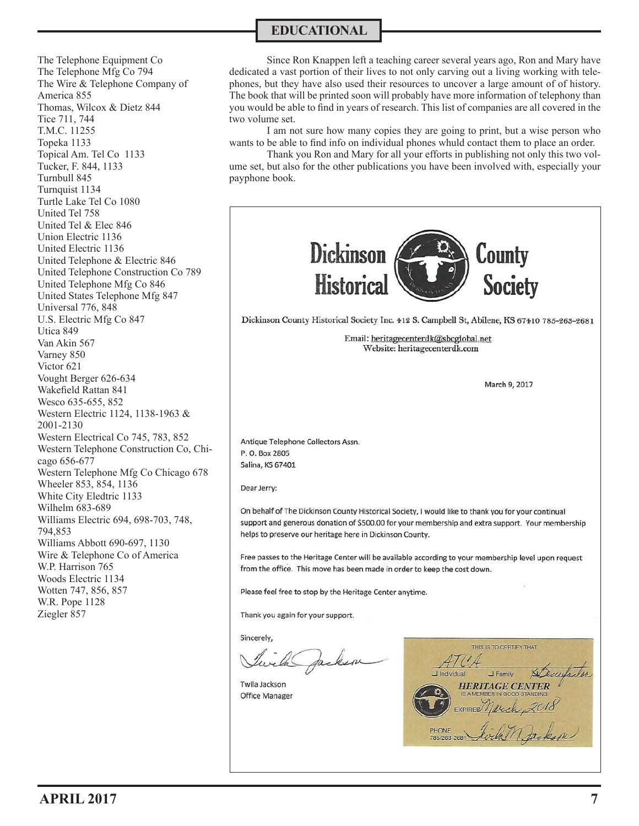The Telephone Equipment Co The Telephone Mfg Co 794 The Wire & Telephone Company of America 855 Thomas, Wilcox & Dietz 844 Tice 711, 744 T.M.C. 11255 Topeka 1133 Topical Am. Tel Co 1133 Tucker, F. 844, 1133 Turnbull 845 Turnquist 1134 Turtle Lake Tel Co 1080 United Tel 758 United Tel & Elec 846 Union Electric 1136 United Electric 1136 United Telephone & Electric 846 United Telephone Construction Co 789 United Telephone Mfg Co 846 United States Telephone Mfg 847 Universal 776, 848 U.S. Electric Mfg Co 847 Utica 849 Van Akin 567 Varney 850 Victor 621 Vought Berger 626-634 Wakefield Rattan 841 Wesco 635-655, 852 Western Electric 1124, 1138-1963 & 2001-2130 Western Electrical Co 745, 783, 852 Western Telephone Construction Co, Chicago 656-677 Western Telephone Mfg Co Chicago 678 Wheeler 853, 854, 1136 White City Eledtric 1133 Wilhelm 683-689 Williams Electric 694, 698-703, 748, 794,853 Williams Abbott 690-697, 1130 Wire & Telephone Co of America W.P. Harrison 765 Woods Electric 1134 Wotten 747, 856, 857 W.R. Pope 1128 Ziegler 857

## **EDUCATIONAL**

Since Ron Knappen left a teaching career several years ago, Ron and Mary have dedicated a vast portion of their lives to not only carving out a living working with telephones, but they have also used their resources to uncover a large amount of of history. The book that will be printed soon will probably have more information of telephony than you would be able to find in years of research. This list of companies are all covered in the two volume set.

I am not sure how many copies they are going to print, but a wise person who wants to be able to find info on individual phones whuld contact them to place an order.

Thank you Ron and Mary for all your efforts in publishing not only this two volume set, but also for the other publications you have been involved with, especially your payphone book.



Twila Jackson Office Manager

THIS IS TO CERTIFY THAT **J** Family **HERITAGE CENTER**